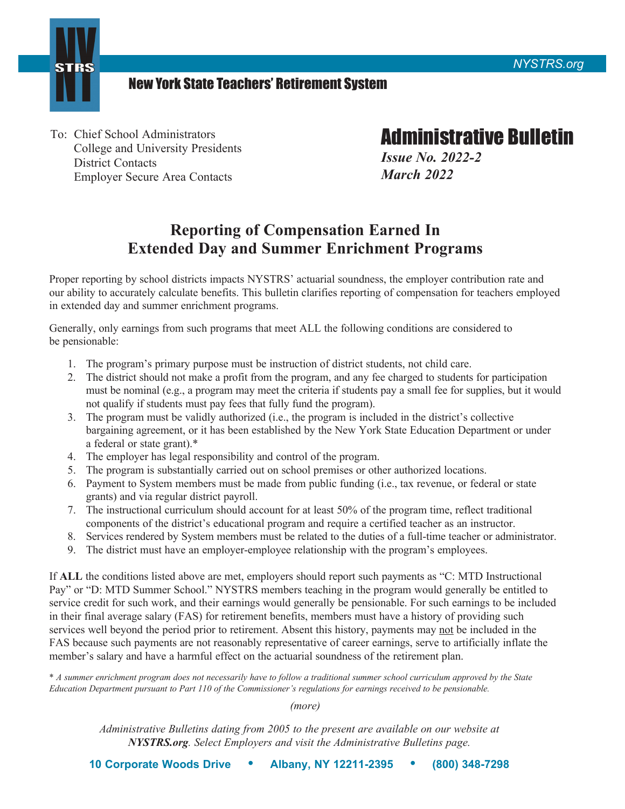



## New York State Teachers' Retirement System

To: Chief School Administrators<br>
College and University Presidents<br>
District Contacts<br>
Final Outer Secure Area Contacts<br>
Final Outer Secure Area Contacts<br> *March 2022* **Employer Secure Area Contacts** 

## **Reporting of Compensation Earned In Extended Day and Summer Enrichment Programs**

Proper reporting by school districts impacts NYSTRS' actuarial soundness, the employer contribution rate and our ability to accurately calculate benefits. This bulletin clarifies reporting of compensation for teachers employed in extended day and summer enrichment programs.

Generally, only earnings from such programs that meet ALL the following conditions are considered to be pensionable:

- 1. The program's primary purpose must be instruction of district students, not child care.
- 2. The district should not make a profit from the program, and any fee charged to students for participation must be nominal (e.g., a program may meet the criteria if students pay a small fee for supplies, but it would not qualify if students must pay fees that fully fund the program).
- 3. The program must be validly authorized (i.e., the program is included in the district's collective bargaining agreement, or it has been established by the New York State Education Department or under a federal or state grant).\*
- 4. The employer has legal responsibility and control of the program.
- 5. The program is substantially carried out on school premises or other authorized locations.
- 6. Payment to System members must be made from public funding (i.e., tax revenue, or federal or state grants) and via regular district payroll.
- 7. The instructional curriculum should account for at least 50% of the program time, reflect traditional components of the district's educational program and require a certified teacher as an instructor.
- 8. Services rendered by System members must be related to the duties of a full-time teacher or administrator.
- 9. The district must have an employer-employee relationship with the program's employees.

services well beyond the period prior to retirement. Absent this history, payments may not be included in the If **ALL** the conditions listed above are met, employers should report such payments as "C: MTD Instructional Pay" or "D: MTD Summer School." NYSTRS members teaching in the program would generally be entitled to service credit for such work, and their earnings would generally be pensionable. For such earnings to be included in their final average salary (FAS) for retirement benefits, members must have a history of providing such FAS because such payments are not reasonably representative of career earnings, serve to artificially inflate the member's salary and have a harmful effect on the actuarial soundness of the retirement plan.

\* *A summer enrichment program does not necessarily have to follow a traditional summer school curriculum approved by the State Education Department pursuant to Part 110 of the Commissioner's regulations for earnings received to be pensionable.*

*(more)* 

*Administrative Bulletins dating from 2005 to the present are available on our website at [NYSTRS.org](https://NYSTRS.org). Select Employers and visit the Administrative Bulletins page.*